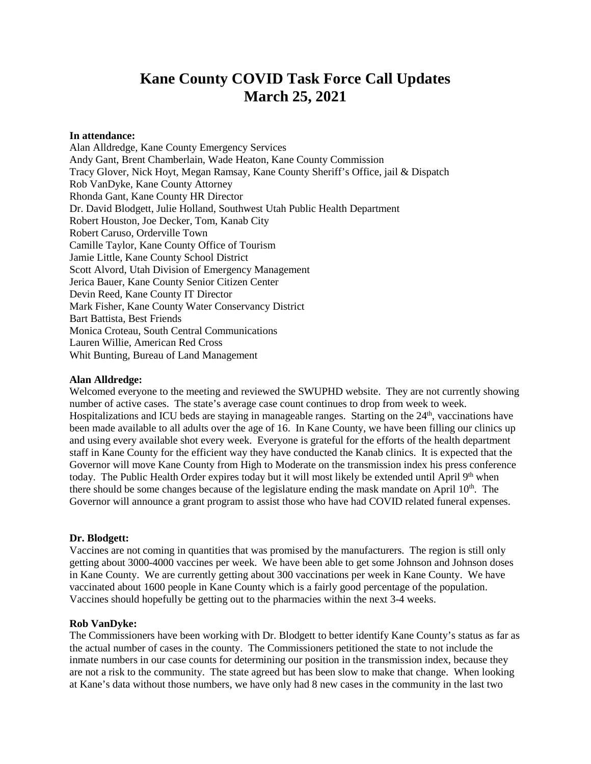# **Kane County COVID Task Force Call Updates March 25, 2021**

## **In attendance:**

Alan Alldredge, Kane County Emergency Services Andy Gant, Brent Chamberlain, Wade Heaton, Kane County Commission Tracy Glover, Nick Hoyt, Megan Ramsay, Kane County Sheriff's Office, jail & Dispatch Rob VanDyke, Kane County Attorney Rhonda Gant, Kane County HR Director Dr. David Blodgett, Julie Holland, Southwest Utah Public Health Department Robert Houston, Joe Decker, Tom, Kanab City Robert Caruso, Orderville Town Camille Taylor, Kane County Office of Tourism Jamie Little, Kane County School District Scott Alvord, Utah Division of Emergency Management Jerica Bauer, Kane County Senior Citizen Center Devin Reed, Kane County IT Director Mark Fisher, Kane County Water Conservancy District Bart Battista, Best Friends Monica Croteau, South Central Communications Lauren Willie, American Red Cross Whit Bunting, Bureau of Land Management

## **Alan Alldredge:**

Welcomed everyone to the meeting and reviewed the SWUPHD website. They are not currently showing number of active cases. The state's average case count continues to drop from week to week. Hospitalizations and ICU beds are staying in manageable ranges. Starting on the  $24<sup>th</sup>$ , vaccinations have been made available to all adults over the age of 16. In Kane County, we have been filling our clinics up and using every available shot every week. Everyone is grateful for the efforts of the health department staff in Kane County for the efficient way they have conducted the Kanab clinics. It is expected that the Governor will move Kane County from High to Moderate on the transmission index his press conference today. The Public Health Order expires today but it will most likely be extended until April 9<sup>th</sup> when there should be some changes because of the legislature ending the mask mandate on April  $10<sup>th</sup>$ . The Governor will announce a grant program to assist those who have had COVID related funeral expenses.

## **Dr. Blodgett:**

Vaccines are not coming in quantities that was promised by the manufacturers. The region is still only getting about 3000-4000 vaccines per week. We have been able to get some Johnson and Johnson doses in Kane County. We are currently getting about 300 vaccinations per week in Kane County. We have vaccinated about 1600 people in Kane County which is a fairly good percentage of the population. Vaccines should hopefully be getting out to the pharmacies within the next 3-4 weeks.

## **Rob VanDyke:**

The Commissioners have been working with Dr. Blodgett to better identify Kane County's status as far as the actual number of cases in the county. The Commissioners petitioned the state to not include the inmate numbers in our case counts for determining our position in the transmission index, because they are not a risk to the community. The state agreed but has been slow to make that change. When looking at Kane's data without those numbers, we have only had 8 new cases in the community in the last two